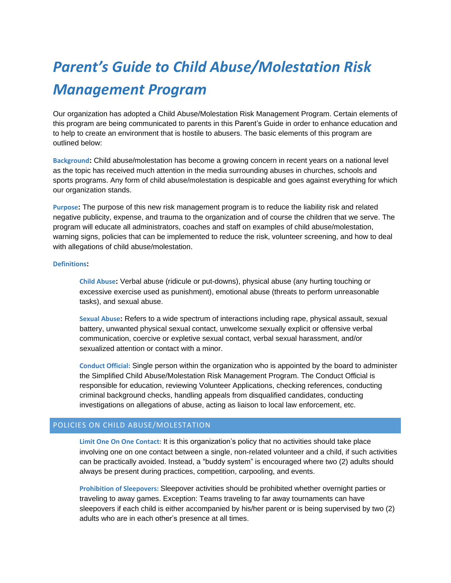# *Parent's Guide to Child Abuse/Molestation Risk Management Program*

Our organization has adopted a Child Abuse/Molestation Risk Management Program. Certain elements of this program are being communicated to parents in this Parent's Guide in order to enhance education and to help to create an environment that is hostile to abusers. The basic elements of this program are outlined below:

**Background:** Child abuse/molestation has become a growing concern in recent years on a national level as the topic has received much attention in the media surrounding abuses in churches, schools and sports programs. Any form of child abuse/molestation is despicable and goes against everything for which our organization stands.

**Purpose:** The purpose of this new risk management program is to reduce the liability risk and related negative publicity, expense, and trauma to the organization and of course the children that we serve. The program will educate all administrators, coaches and staff on examples of child abuse/molestation, warning signs, policies that can be implemented to reduce the risk, volunteer screening, and how to deal with allegations of child abuse/molestation.

#### **Definitions:**

**Child Abuse:** Verbal abuse (ridicule or put-downs), physical abuse (any hurting touching or excessive exercise used as punishment), emotional abuse (threats to perform unreasonable tasks), and sexual abuse.

**Sexual Abuse:** Refers to a wide spectrum of interactions including rape, physical assault, sexual battery, unwanted physical sexual contact, unwelcome sexually explicit or offensive verbal communication, coercive or expletive sexual contact, verbal sexual harassment, and/or sexualized attention or contact with a minor.

**Conduct Official:** Single person within the organization who is appointed by the board to administer the Simplified Child Abuse/Molestation Risk Management Program. The Conduct Official is responsible for education, reviewing Volunteer Applications, checking references, conducting criminal background checks, handling appeals from disqualified candidates, conducting investigations on allegations of abuse, acting as liaison to local law enforcement, etc.

## POLICIES ON CHILD ABUSE/MOLESTATION

**Limit One On One Contact:** It is this organization's policy that no activities should take place involving one on one contact between a single, non-related volunteer and a child, if such activities can be practically avoided. Instead, a "buddy system" is encouraged where two (2) adults should always be present during practices, competition, carpooling, and events.

**Prohibition of Sleepovers:** Sleepover activities should be prohibited whether overnight parties or traveling to away games. Exception: Teams traveling to far away tournaments can have sleepovers if each child is either accompanied by his/her parent or is being supervised by two (2) adults who are in each other's presence at all times.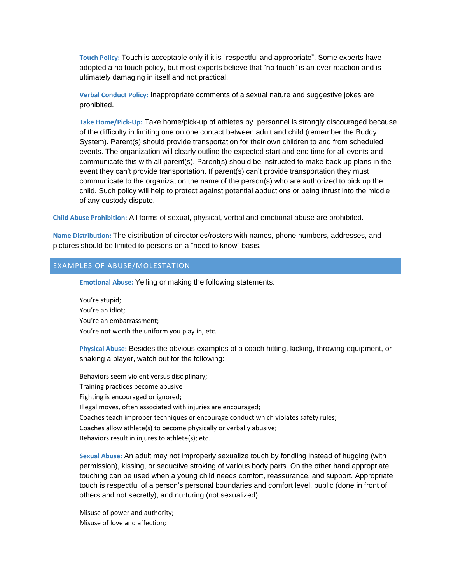**Touch Policy:** Touch is acceptable only if it is "respectful and appropriate". Some experts have adopted a no touch policy, but most experts believe that "no touch" is an over-reaction and is ultimately damaging in itself and not practical.

**Verbal Conduct Policy:** Inappropriate comments of a sexual nature and suggestive jokes are prohibited.

**Take Home/Pick-Up:** Take home/pick-up of athletes by personnel is strongly discouraged because of the difficulty in limiting one on one contact between adult and child (remember the Buddy System). Parent(s) should provide transportation for their own children to and from scheduled events. The organization will clearly outline the expected start and end time for all events and communicate this with all parent(s). Parent(s) should be instructed to make back-up plans in the event they can't provide transportation. If parent(s) can't provide transportation they must communicate to the organization the name of the person(s) who are authorized to pick up the child. Such policy will help to protect against potential abductions or being thrust into the middle of any custody dispute.

**Child Abuse Prohibition:** All forms of sexual, physical, verbal and emotional abuse are prohibited.

**Name Distribution:** The distribution of directories/rosters with names, phone numbers, addresses, and pictures should be limited to persons on a "need to know" basis.

#### EXAMPLES OF ABUSE/MOLESTATION

**Emotional Abuse:** Yelling or making the following statements:

You're stupid; You're an idiot; You're an embarrassment; You're not worth the uniform you play in; etc.

**Physical Abuse:** Besides the obvious examples of a coach hitting, kicking, throwing equipment, or shaking a player, watch out for the following:

Behaviors seem violent versus disciplinary; Training practices become abusive Fighting is encouraged or ignored; Illegal moves, often associated with injuries are encouraged; Coaches teach improper techniques or encourage conduct which violates safety rules; Coaches allow athlete(s) to become physically or verbally abusive; Behaviors result in injures to athlete(s); etc.

**Sexual Abuse:** An adult may not improperly sexualize touch by fondling instead of hugging (with permission), kissing, or seductive stroking of various body parts. On the other hand appropriate touching can be used when a young child needs comfort, reassurance, and support. Appropriate touch is respectful of a person's personal boundaries and comfort level, public (done in front of others and not secretly), and nurturing (not sexualized).

Misuse of power and authority; Misuse of love and affection;